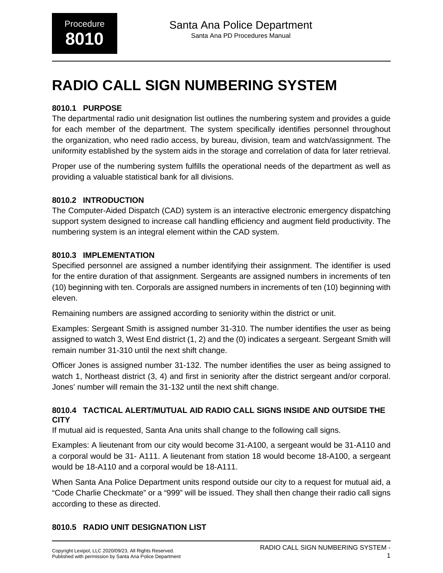# **RADIO CALL SIGN NUMBERING SYSTEM**

### **8010.1 PURPOSE**

The departmental radio unit designation list outlines the numbering system and provides a guide for each member of the department. The system specifically identifies personnel throughout the organization, who need radio access, by bureau, division, team and watch/assignment. The uniformity established by the system aids in the storage and correlation of data for later retrieval.

Proper use of the numbering system fulfills the operational needs of the department as well as providing a valuable statistical bank for all divisions.

### **8010.2 INTRODUCTION**

The Computer-Aided Dispatch (CAD) system is an interactive electronic emergency dispatching support system designed to increase call handling efficiency and augment field productivity. The numbering system is an integral element within the CAD system.

### **8010.3 IMPLEMENTATION**

Specified personnel are assigned a number identifying their assignment. The identifier is used for the entire duration of that assignment. Sergeants are assigned numbers in increments of ten (10) beginning with ten. Corporals are assigned numbers in increments of ten (10) beginning with eleven.

Remaining numbers are assigned according to seniority within the district or unit.

Examples: Sergeant Smith is assigned number 31-310. The number identifies the user as being assigned to watch 3, West End district (1, 2) and the (0) indicates a sergeant. Sergeant Smith will remain number 31-310 until the next shift change.

Officer Jones is assigned number 31-132. The number identifies the user as being assigned to watch 1, Northeast district (3, 4) and first in seniority after the district sergeant and/or corporal. Jones' number will remain the 31-132 until the next shift change.

### **8010.4 TACTICAL ALERT/MUTUAL AID RADIO CALL SIGNS INSIDE AND OUTSIDE THE CITY**

If mutual aid is requested, Santa Ana units shall change to the following call signs.

Examples: A lieutenant from our city would become 31-A100, a sergeant would be 31-A110 and a corporal would be 31- A111. A lieutenant from station 18 would become 18-A100, a sergeant would be 18-A110 and a corporal would be 18-A111.

When Santa Ana Police Department units respond outside our city to a request for mutual aid, a "Code Charlie Checkmate" or a "999" will be issued. They shall then change their radio call signs according to these as directed.

### **8010.5 RADIO UNIT DESIGNATION LIST**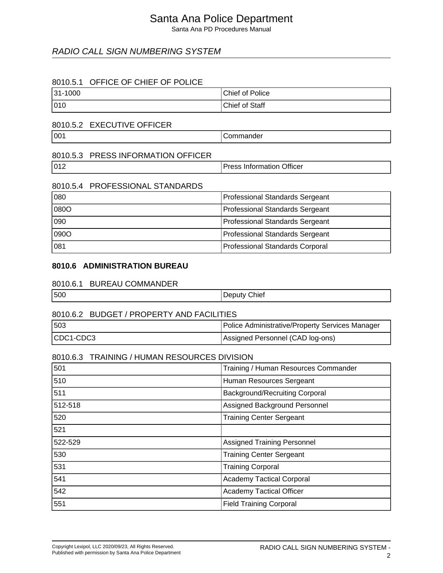Santa Ana PD Procedures Manual

### RADIO CALL SIGN NUMBERING SYSTEM

### 8010.5.1 OFFICE OF CHIEF OF POLICE

| 31-1000 | Chief of Police |
|---------|-----------------|
| 010     | Chief of Staff  |

### 8010.5.2 EXECUTIVE OFFICER

oo1 Commander

### 8010.5.3 PRESS INFORMATION OFFICER

| 1012 | <b>Officer</b><br>n<br>$-1 - 5$<br>™uarion ⊾<br>тног<br>_ |
|------|-----------------------------------------------------------|
|------|-----------------------------------------------------------|

#### 8010.5.4 PROFESSIONAL STANDARDS

| 080  | Professional Standards Sergeant |
|------|---------------------------------|
| 080O | Professional Standards Sergeant |
| 090  | Professional Standards Sergeant |
| 090O | Professional Standards Sergeant |
| 081  | Professional Standards Corporal |

### **8010.6 ADMINISTRATION BUREAU**

### 8010.6.1 BUREAU COMMANDER

| 500<br>_ | Chief |
|----------|-------|
|----------|-------|

### 8010.6.2 BUDGET / PROPERTY AND FACILITIES 503 Police Administrative/Property Services Manager CDC1-CDC3 Assigned Personnel (CAD log-ons)

#### 8010.6.3 TRAINING / HUMAN RESOURCES DIVISION

| 501     | Training / Human Resources Commander  |
|---------|---------------------------------------|
| 510     | Human Resources Sergeant              |
| 511     | <b>Background/Recruiting Corporal</b> |
| 512-518 | Assigned Background Personnel         |
| 520     | <b>Training Center Sergeant</b>       |
| 521     |                                       |
| 522-529 | <b>Assigned Training Personnel</b>    |
| 530     | <b>Training Center Sergeant</b>       |
| 531     | <b>Training Corporal</b>              |
| 541     | <b>Academy Tactical Corporal</b>      |
| 542     | <b>Academy Tactical Officer</b>       |
| 551     | <b>Field Training Corporal</b>        |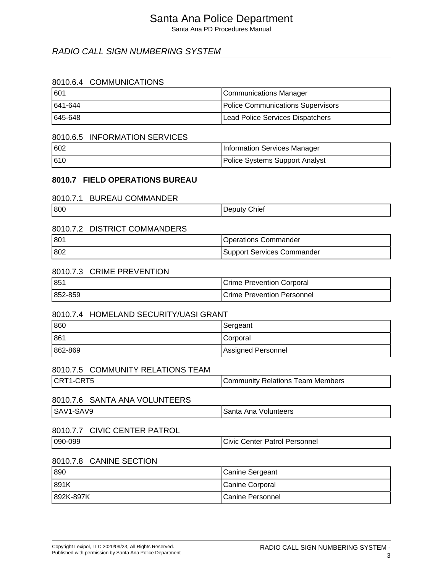Santa Ana PD Procedures Manual

### RADIO CALL SIGN NUMBERING SYSTEM

### 8010.6.4 COMMUNICATIONS

| 1601     | Communications Manager            |
|----------|-----------------------------------|
| 1641-644 | Police Communications Supervisors |
| 1645-648 | Lead Police Services Dispatchers  |

#### 8010.6.5 INFORMATION SERVICES

| 602  | Information Services Manager   |
|------|--------------------------------|
| 1610 | Police Systems Support Analyst |

#### **8010.7 FIELD OPERATIONS BUREAU**

#### 8010.7.1 BUREAU COMMANDER

| 800<br><b>Chief</b><br>- |
|--------------------------|
|--------------------------|

### 8010.7.2 DISTRICT COMMANDERS

| $ 80^4$ | Operations Commander       |
|---------|----------------------------|
| 802     | Support Services Commander |

#### 8010.7.3 CRIME PREVENTION

| 85      | <b>Crime Prevention Corporal</b>   |
|---------|------------------------------------|
| 852-859 | <b>ICrime Prevention Personnel</b> |

### 8010.7.4 HOMELAND SECURITY/UASI GRANT

| 860     | Sergeant           |
|---------|--------------------|
| 861     | Corporal           |
| 862-869 | Assigned Personnel |

#### 8010.7.5 COMMUNITY RELATIONS TEAM

| CRT1-CRT5 | Community Relations Team Members |
|-----------|----------------------------------|
|           |                                  |

### 8010.7.6 SANTA ANA VOLUNTEERS

| $\sqrt{2}$<br>'SAV<br>∸י<br>$\mathbf{v}$ | Volunteers<br>$\sim$ $\sim$ $\sim$ $\sim$ $\sim$<br>Ana<br>Santa<br>. |
|------------------------------------------|-----------------------------------------------------------------------|
|------------------------------------------|-----------------------------------------------------------------------|

### 8010.7.7 CIVIC CENTER PATROL

| 090-099 | Civic<br><b>Center Patrol Personnel</b> |
|---------|-----------------------------------------|
|         |                                         |

#### 8010.7.8 CANINE SECTION

| 890       | Canine Sergeant  |
|-----------|------------------|
| 891K      | Canine Corporal  |
| 892K-897K | Canine Personnel |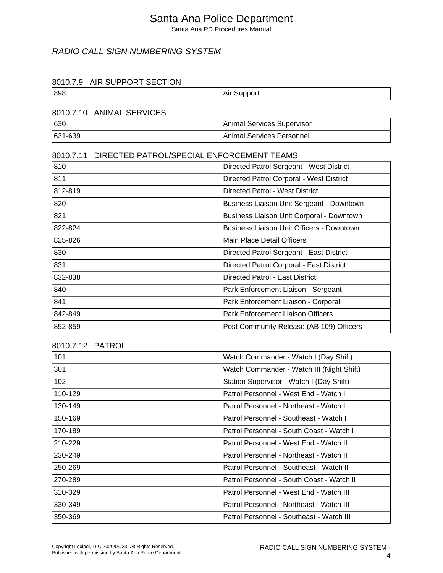Santa Ana PD Procedures Manual

### RADIO CALL SIGN NUMBERING SYSTEM

#### 8010.7.9 AIR SUPPORT SECTION

| 898 | Air Support |
|-----|-------------|
|-----|-------------|

### 8010.7.10 ANIMAL SERVICES

| 630     | Animal Services Supervisor |
|---------|----------------------------|
| 631-639 | Animal Services Personnel  |

### 8010.7.11 DIRECTED PATROL/SPECIAL ENFORCEMENT TEAMS

| 810     | Directed Patrol Sergeant - West District         |
|---------|--------------------------------------------------|
| 811     | Directed Patrol Corporal - West District         |
| 812-819 | Directed Patrol - West District                  |
| 820     | Business Liaison Unit Sergeant - Downtown        |
| 821     | Business Liaison Unit Corporal - Downtown        |
| 822-824 | <b>Business Liaison Unit Officers - Downtown</b> |
| 825-826 | Main Place Detail Officers                       |
| 830     | Directed Patrol Sergeant - East District         |
| 831     | Directed Patrol Corporal - East District         |
| 832-838 | Directed Patrol - East District                  |
| 840     | Park Enforcement Liaison - Sergeant              |
| 841     | Park Enforcement Liaison - Corporal              |
| 842-849 | Park Enforcement Liaison Officers                |
| 852-859 | Post Community Release (AB 109) Officers         |

8010.7.12 PATROL

| 101     | Watch Commander - Watch I (Day Shift)     |
|---------|-------------------------------------------|
| 301     | Watch Commander - Watch III (Night Shift) |
| 102     | Station Supervisor - Watch I (Day Shift)  |
| 110-129 | Patrol Personnel - West End - Watch I     |
| 130-149 | Patrol Personnel - Northeast - Watch I    |
| 150-169 | Patrol Personnel - Southeast - Watch I    |
| 170-189 | Patrol Personnel - South Coast - Watch I  |
| 210-229 | Patrol Personnel - West End - Watch II    |
| 230-249 | Patrol Personnel - Northeast - Watch II   |
| 250-269 | Patrol Personnel - Southeast - Watch II   |
| 270-289 | Patrol Personnel - South Coast - Watch II |
| 310-329 | Patrol Personnel - West End - Watch III   |
| 330-349 | Patrol Personnel - Northeast - Watch III  |
| 350-369 | Patrol Personnel - Southeast - Watch III  |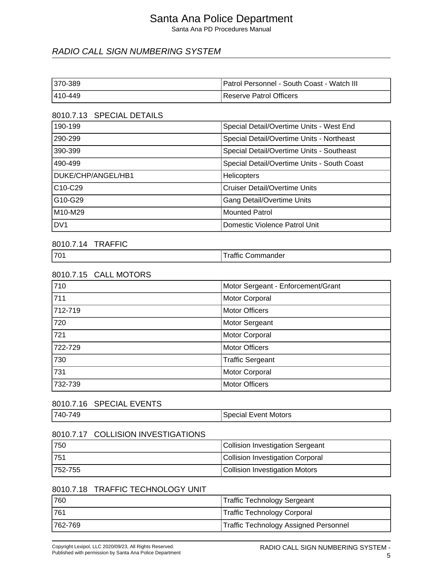Santa Ana PD Procedures Manual

### RADIO CALL SIGN NUMBERING SYSTEM

| 1370-389 | <b>Patrol Personnel - South Coast - Watch III</b> |
|----------|---------------------------------------------------|
| 1410-449 | Reserve Patrol Officers                           |

### 8010.7.13 SPECIAL DETAILS

| 190-199                          | Special Detail/Overtime Units - West End    |
|----------------------------------|---------------------------------------------|
| 290-299                          | Special Detail/Overtime Units - Northeast   |
| 390-399                          | Special Detail/Overtime Units - Southeast   |
| 490-499                          | Special Detail/Overtime Units - South Coast |
| DUKE/CHP/ANGEL/HB1               | <b>Helicopters</b>                          |
| C <sub>10</sub> -C <sub>29</sub> | <b>Cruiser Detail/Overtime Units</b>        |
| G10-G29                          | <b>Gang Detail/Overtime Units</b>           |
| M10-M29                          | <b>Mounted Patrol</b>                       |
| DV <sub>1</sub>                  | Domestic Violence Patrol Unit               |

#### 8010.7.14 TRAFFIC

| 170 <sub>1</sub> | <br>າmander<br>$\sim$<br>omrب<br>'allll |
|------------------|-----------------------------------------|
|                  |                                         |

### 8010.7.15 CALL MOTORS

| 710     | Motor Sergeant - Enforcement/Grant |
|---------|------------------------------------|
| 711     | Motor Corporal                     |
| 712-719 | <b>Motor Officers</b>              |
| 720     | <b>Motor Sergeant</b>              |
| 721     | Motor Corporal                     |
| 722-729 | <b>Motor Officers</b>              |
| 730     | <b>Traffic Sergeant</b>            |
| 731     | Motor Corporal                     |
| 732-739 | <b>Motor Officers</b>              |

### 8010.7.16 SPECIAL EVENTS

| $740 - 7$ | Motors                                        |
|-----------|-----------------------------------------------|
| 21 Y      | $v \mapsto r$                                 |
| ᠇◡        | $-$ , $-$ , $-$ , $-$ , $-$ , $-$ , $-$ , $-$ |
|           |                                               |

#### 8010.7.17 COLLISION INVESTIGATIONS

| 1750     | Collision Investigation Sergeant |
|----------|----------------------------------|
| 1751     | Collision Investigation Corporal |
| 1752-755 | Collision Investigation Motors   |

### 8010.7.18 TRAFFIC TECHNOLOGY UNIT

| 1760     | Traffic Technology Sergeant           |
|----------|---------------------------------------|
| 1761     | Traffic Technology Corporal           |
| 1762-769 | Traffic Technology Assigned Personnel |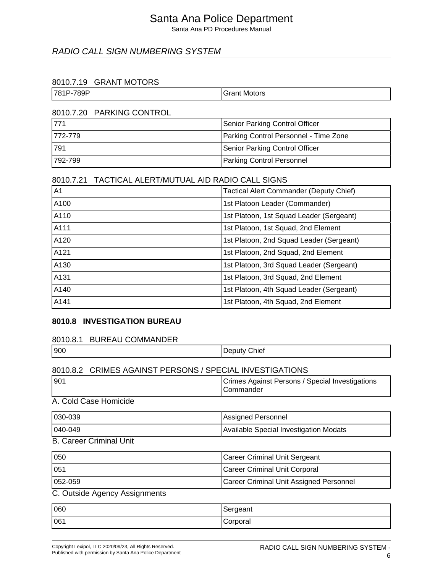Santa Ana PD Procedures Manual

### RADIO CALL SIGN NUMBERING SYSTEM

### 8010.7.19 GRANT MOTORS

| -789P<br>781P- | Motors<br>≛ront:<br>ί٦I<br>idiil<br>. |
|----------------|---------------------------------------|
|                |                                       |

#### 8010.7.20 PARKING CONTROL

| 1771     | Senior Parking Control Officer        |
|----------|---------------------------------------|
| 1772-779 | Parking Control Personnel - Time Zone |
| 1791     | Senior Parking Control Officer        |
| 1792-799 | Parking Control Personnel             |

### 8010.7.21 TACTICAL ALERT/MUTUAL AID RADIO CALL SIGNS

| A <sub>1</sub> | <b>Tactical Alert Commander (Deputy Chief)</b> |
|----------------|------------------------------------------------|
| A100           | 1st Platoon Leader (Commander)                 |
| A110           | 1st Platoon, 1st Squad Leader (Sergeant)       |
| A111           | 1st Platoon, 1st Squad, 2nd Element            |
| A120           | 1st Platoon, 2nd Squad Leader (Sergeant)       |
| A121           | 1st Platoon, 2nd Squad, 2nd Element            |
| A130           | 1st Platoon, 3rd Squad Leader (Sergeant)       |
| A131           | 1st Platoon, 3rd Squad, 2nd Element            |
| A140           | 1st Platoon, 4th Squad Leader (Sergeant)       |
| A141           | 1st Platoon, 4th Squad, 2nd Element            |

#### **8010.8 INVESTIGATION BUREAU**

#### 8010.8.1 BUREAU COMMANDER

| 900 | Chief<br>---- |
|-----|---------------|
|     |               |

### 8010.8.2 CRIMES AGAINST PERSONS / SPECIAL INVESTIGATIONS

| 190 <sup>4</sup> | Crimes Against Persons / Special Investigations |
|------------------|-------------------------------------------------|
|                  | <b>ICommander</b>                               |

### A. Cold Case Homicide

| 1030-039 | Assigned Personnel                     |
|----------|----------------------------------------|
| 1040-049 | Available Special Investigation Modats |

### B. Career Criminal Unit

| 050          | Career Criminal Unit Sergeant           |
|--------------|-----------------------------------------|
| 051          | Career Criminal Unit Corporal           |
| $1052 - 059$ | Career Criminal Unit Assigned Personnel |

### C. Outside Agency Assignments

| 060 | Sergeant |
|-----|----------|
| 061 | Corporal |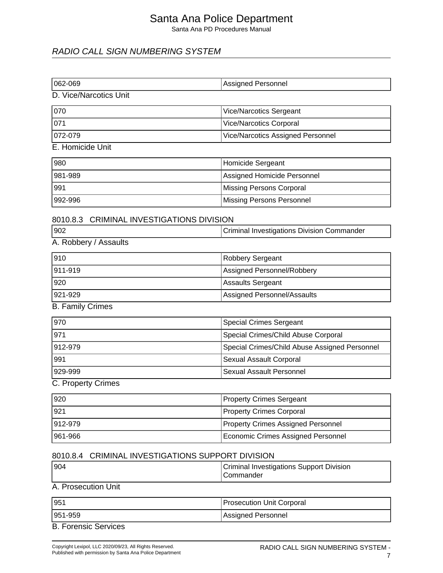Santa Ana PD Procedures Manual

### RADIO CALL SIGN NUMBERING SYSTEM

| 062-069                                   | <b>Assigned Personnel</b>                  |  |
|-------------------------------------------|--------------------------------------------|--|
| D. Vice/Narcotics Unit                    |                                            |  |
| 070                                       | Vice/Narcotics Sergeant                    |  |
| 071                                       | <b>Vice/Narcotics Corporal</b>             |  |
| 072-079                                   | Vice/Narcotics Assigned Personnel          |  |
| E. Homicide Unit                          |                                            |  |
| 980                                       | Homicide Sergeant                          |  |
| 981-989                                   | Assigned Homicide Personnel                |  |
| 991                                       | <b>Missing Persons Corporal</b>            |  |
| 992-996                                   | <b>Missing Persons Personnel</b>           |  |
| 8010.8.3 CRIMINAL INVESTIGATIONS DIVISION |                                            |  |
| 902                                       | Criminal Investigations Division Commander |  |
| A. Robbery / Assaults                     |                                            |  |
| 910                                       | Robbery Sergeant                           |  |
| 911-919                                   | Assigned Personnel/Robbery                 |  |
| 920                                       | <b>Assaults Sergeant</b>                   |  |
| 921-929                                   | Assigned Personnel/Assaults                |  |
| <b>B. Family Crimes</b>                   |                                            |  |

| 1970     | <b>Special Crimes Sergeant</b>                |
|----------|-----------------------------------------------|
| 971      | Special Crimes/Child Abuse Corporal           |
| 1912-979 | Special Crimes/Child Abuse Assigned Personnel |
| 991      | <b>Sexual Assault Corporal</b>                |
| 1929-999 | Sexual Assault Personnel                      |

C. Property Crimes

| 920     | <b>Property Crimes Sergeant</b>           |
|---------|-------------------------------------------|
| 1921    | <b>Property Crimes Corporal</b>           |
| 912-979 | <b>Property Crimes Assigned Personnel</b> |
| 961-966 | Economic Crimes Assigned Personnel        |

### 8010.8.4 CRIMINAL INVESTIGATIONS SUPPORT DIVISION

| 1904                | <b>Criminal Investigations Support Division</b><br><b>ICommander</b> |
|---------------------|----------------------------------------------------------------------|
| A. Prosecution Unit |                                                                      |

| 951                 | <b>Prosecution Unit Corporal</b> |
|---------------------|----------------------------------|
| 1951-959            | Assigned Personnel               |
| D. Farancia Camissa |                                  |

B. Forensic Services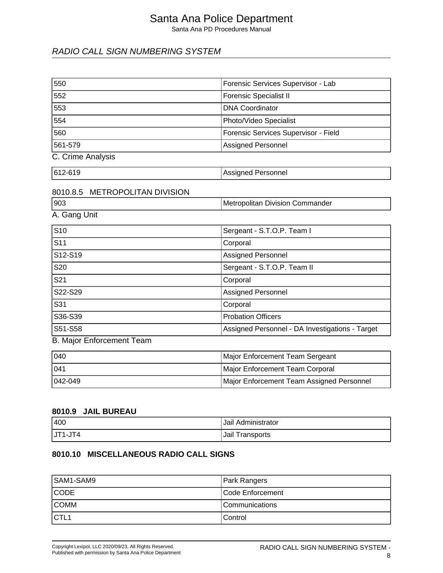Santa Ana PD Procedures Manual

### RADIO CALL SIGN NUMBERING SYSTEM

| 550                              | Forensic Services Supervisor - Lab              |
|----------------------------------|-------------------------------------------------|
| 552                              | <b>Forensic Specialist II</b>                   |
| 553                              | <b>DNA Coordinator</b>                          |
| 554                              | Photo/Video Specialist                          |
| 560                              | Forensic Services Supervisor - Field            |
| 561-579                          | <b>Assigned Personnel</b>                       |
| C. Crime Analysis                |                                                 |
| 612-619                          | <b>Assigned Personnel</b>                       |
| 8010.8.5 METROPOLITAN DIVISION   |                                                 |
| 903                              | Metropolitan Division Commander                 |
| A. Gang Unit                     |                                                 |
| S <sub>10</sub>                  | Sergeant - S.T.O.P. Team I                      |
| S <sub>11</sub>                  | Corporal                                        |
| S12-S19                          | Assigned Personnel                              |
| S20                              | Sergeant - S.T.O.P. Team II                     |
| S <sub>21</sub>                  | Corporal                                        |
| S22-S29                          | <b>Assigned Personnel</b>                       |
| S31                              | Corporal                                        |
| S36-S39                          | <b>Probation Officers</b>                       |
| S51-S58                          | Assigned Personnel - DA Investigations - Target |
| <b>B. Major Enforcement Team</b> |                                                 |
| 040                              | Major Enforcement Team Sergeant                 |
| 041                              | Major Enforcement Team Corporal                 |
| 042-049                          | Major Enforcement Team Assigned Personnel       |
|                                  |                                                 |

#### **8010.9 JAIL BUREAU**

| 400         | Jail Administrator |
|-------------|--------------------|
| $ JT1-JT4 $ | Jail Transports    |

### **8010.10 MISCELLANEOUS RADIO CALL SIGNS**

| SAM1-SAM9         | <b>Park Rangers</b>   |
|-------------------|-----------------------|
| <b>CODE</b>       | Code Enforcement      |
| <b>COMM</b>       | <b>Communications</b> |
| ICTL <sub>1</sub> | l Control             |